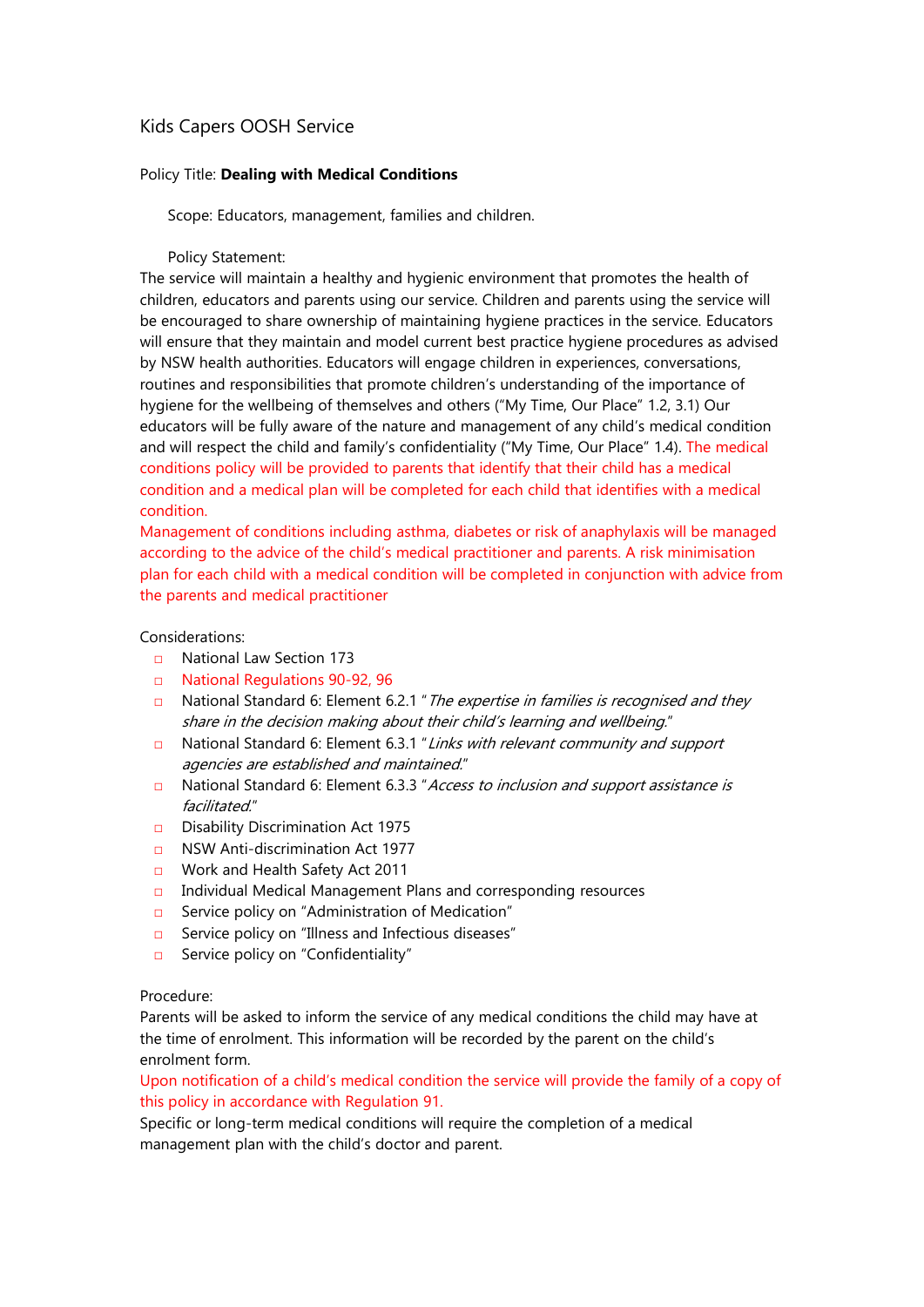## Kids Capers OOSH Service

## Policy Title: Dealing with Medical Conditions

Scope: Educators, management, families and children.

Policy Statement:

The service will maintain a healthy and hygienic environment that promotes the health of children, educators and parents using our service. Children and parents using the service will be encouraged to share ownership of maintaining hygiene practices in the service. Educators will ensure that they maintain and model current best practice hygiene procedures as advised by NSW health authorities. Educators will engage children in experiences, conversations, routines and responsibilities that promote children's understanding of the importance of hygiene for the wellbeing of themselves and others ("My Time, Our Place" 1.2, 3.1) Our educators will be fully aware of the nature and management of any child's medical condition and will respect the child and family's confidentiality ("My Time, Our Place" 1.4). The medical conditions policy will be provided to parents that identify that their child has a medical condition and a medical plan will be completed for each child that identifies with a medical condition.

Management of conditions including asthma, diabetes or risk of anaphylaxis will be managed according to the advice of the child's medical practitioner and parents. A risk minimisation plan for each child with a medical condition will be completed in conjunction with advice from the parents and medical practitioner

## Considerations:

- □ National Law Section 173
- □ National Regulations 90-92, 96
- **□** National Standard 6: Element 6.2.1 "*The expertise in families is recognised and they* share in the decision making about their child's learning and wellbeing."
- □ National Standard 6: Element 6.3.1 "Links with relevant community and support agencies are established and maintained."
- □ National Standard 6: Element 6.3.3 "Access to inclusion and support assistance is facilitated."
- □ Disability Discrimination Act 1975
- □ NSW Anti-discrimination Act 1977
- □ Work and Health Safety Act 2011
- □ Individual Medical Management Plans and corresponding resources
- □ Service policy on "Administration of Medication"
- □ Service policy on "Illness and Infectious diseases"
- □ Service policy on "Confidentiality"

## Procedure:

Parents will be asked to inform the service of any medical conditions the child may have at the time of enrolment. This information will be recorded by the parent on the child's enrolment form.

Upon notification of a child's medical condition the service will provide the family of a copy of this policy in accordance with Regulation 91.

Specific or long-term medical conditions will require the completion of a medical management plan with the child's doctor and parent.